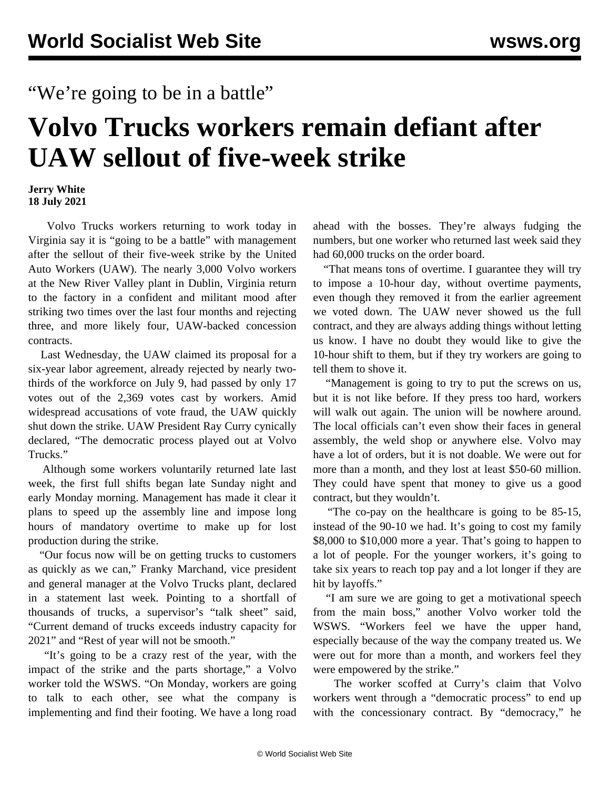## "We're going to be in a battle"

## **Volvo Trucks workers remain defiant after UAW sellout of five-week strike**

## **Jerry White 18 July 2021**

 Volvo Trucks workers returning to work today in Virginia say it is "going to be a battle" with management after the sellout of their five-week strike by the United Auto Workers (UAW). The nearly 3,000 Volvo workers at the New River Valley plant in Dublin, Virginia return to the factory in a confident and militant mood after striking two times over the last four months and rejecting three, and more likely four, UAW-backed concession contracts.

 Last Wednesday, the UAW claimed its proposal for a six-year labor agreement, already rejected by nearly twothirds of the workforce on July 9, had passed by only 17 votes out of the 2,369 votes cast by workers. Amid widespread accusations of vote fraud, the UAW quickly shut down the strike. UAW President Ray Curry cynically declared, "The democratic process played out at Volvo Trucks."

 Although some workers voluntarily returned late last week, the first full shifts began late Sunday night and early Monday morning. Management has made it clear it plans to speed up the assembly line and impose long hours of mandatory overtime to make up for lost production during the strike.

 "Our focus now will be on getting trucks to customers as quickly as we can," Franky Marchand, vice president and general manager at the Volvo Trucks plant, declared in a statement last week. Pointing to a shortfall of thousands of trucks, a supervisor's "talk sheet" said, "Current demand of trucks exceeds industry capacity for 2021" and "Rest of year will not be smooth."

 "It's going to be a crazy rest of the year, with the impact of the strike and the parts shortage," a Volvo worker told the WSWS. "On Monday, workers are going to talk to each other, see what the company is implementing and find their footing. We have a long road

ahead with the bosses. They're always fudging the numbers, but one worker who returned last week said they had 60,000 trucks on the order board.

 "That means tons of overtime. I guarantee they will try to impose a 10-hour day, without overtime payments, even though they removed it from the earlier agreement we voted down. The UAW never showed us the full contract, and they are always adding things without letting us know. I have no doubt they would like to give the 10-hour shift to them, but if they try workers are going to tell them to shove it.

 "Management is going to try to put the screws on us, but it is not like before. If they press too hard, workers will walk out again. The union will be nowhere around. The local officials can't even show their faces in general assembly, the weld shop or anywhere else. Volvo may have a lot of orders, but it is not doable. We were out for more than a month, and they lost at least \$50-60 million. They could have spent that money to give us a good contract, but they wouldn't.

 "The co-pay on the healthcare is going to be 85-15, instead of the 90-10 we had. It's going to cost my family \$8,000 to \$10,000 more a year. That's going to happen to a lot of people. For the younger workers, it's going to take six years to reach top pay and a lot longer if they are hit by layoffs."

 "I am sure we are going to get a motivational speech from the main boss," another Volvo worker told the WSWS. "Workers feel we have the upper hand, especially because of the way the company treated us. We were out for more than a month, and workers feel they were empowered by the strike."

 The worker scoffed at Curry's claim that Volvo workers went through a "democratic process" to end up with the concessionary contract. By "democracy," he